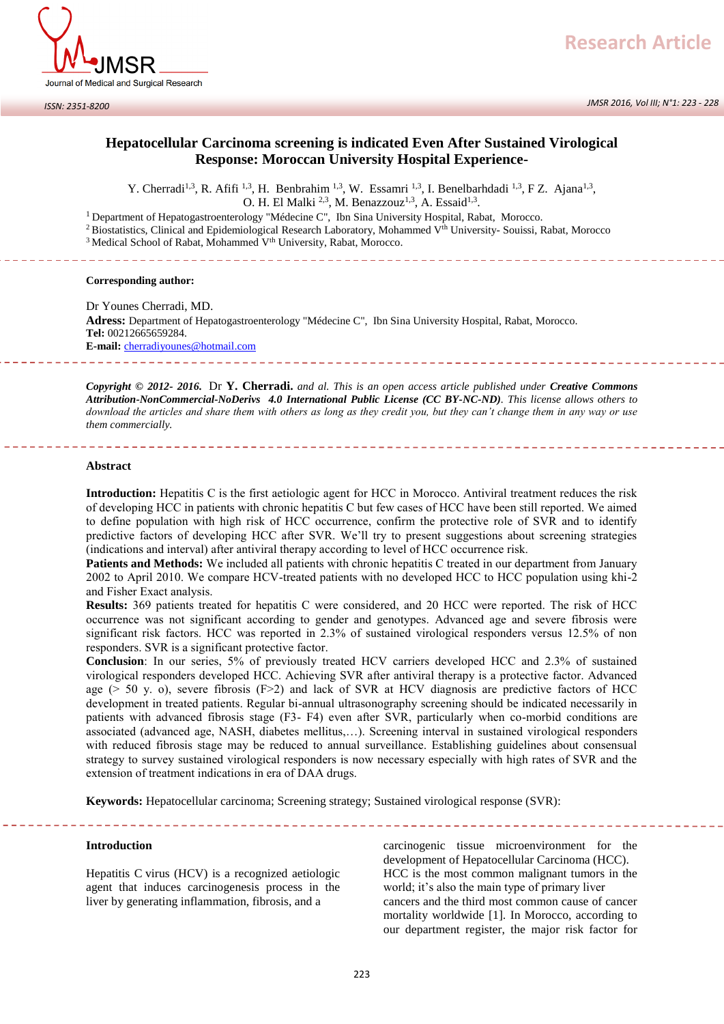

*JMSR 2016, Vol III; N°1: 223 - 228*

# **Hepatocellular Carcinoma screening is indicated Even After Sustained Virological Response: Moroccan University Hospital Experience-**

Y. Cherradi<sup>1,3</sup>, R. Afifi <sup>1,3</sup>, H. Benbrahim <sup>1,3</sup>, W. Essamri <sup>1,3</sup>, I. Benelbarhdadi <sup>1,3</sup>, F Z. Ajana<sup>1,3</sup>,

O. H. El Malki  $^{2,3}$ , M. Benazzouz<sup>1,3</sup>, A. Essaid<sup>1,3</sup>.

<sup>1</sup> Department of Hepatogastroenterology "Médecine C", Ibn Sina University Hospital, Rabat, Morocco.

<sup>2</sup> Biostatistics, Clinical and Epidemiological Research Laboratory, Mohammed V<sup>th</sup> University- Souissi, Rabat, Morocco

<sup>3</sup> Medical School of Rabat, Mohammed V<sup>th</sup> University, Rabat, Morocco.

#### **Corresponding author:**

Dr Younes Cherradi, MD. **Adress:** Department of Hepatogastroenterology "Médecine C", Ibn Sina University Hospital, Rabat, Morocco. **Tel:** 00212665659284. **E-mail:** [cherradiyounes@hotmail.com](mailto:cherradiyounes@hotmail.com)

*Copyright © 2012- 2016.* Dr **Y. Cherradi.** *and al. This is an open access article published under Creative Commons Attribution-NonCommercial-NoDerivs 4.0 International Public License (CC BY-NC-ND). This license allows others to download the articles and share them with others as long as they credit you, but they can't change them in any way or use them commercially.* 

#### **Abstract**

**Introduction:** Hepatitis C is the first aetiologic agent for HCC in Morocco. Antiviral treatment reduces the risk of developing HCC in patients with chronic hepatitis C but few cases of HCC have been still reported. We aimed to define population with high risk of HCC occurrence, confirm the protective role of SVR and to identify predictive factors of developing HCC after SVR. We'll try to present suggestions about screening strategies (indications and interval) after antiviral therapy according to level of HCC occurrence risk.

**Patients and Methods:** We included all patients with chronic hepatitis C treated in our department from January 2002 to April 2010. We compare HCV-treated patients with no developed HCC to HCC population using khi-2 and Fisher Exact analysis.

**Results:** 369 patients treated for hepatitis C were considered, and 20 HCC were reported. The risk of HCC occurrence was not significant according to gender and genotypes. Advanced age and severe fibrosis were significant risk factors. HCC was reported in 2.3% of sustained virological responders versus 12.5% of non responders. SVR is a significant protective factor.

**Conclusion**: In our series, 5% of previously treated HCV carriers developed HCC and 2.3% of sustained virological responders developed HCC. Achieving SVR after antiviral therapy is a protective factor. Advanced age ( $> 50$  y. o), severe fibrosis ( $F>2$ ) and lack of SVR at HCV diagnosis are predictive factors of HCC development in treated patients. Regular bi-annual ultrasonography screening should be indicated necessarily in patients with advanced fibrosis stage (F3- F4) even after SVR, particularly when co-morbid conditions are associated (advanced age, NASH, diabetes mellitus,…). Screening interval in sustained virological responders with reduced fibrosis stage may be reduced to annual surveillance. Establishing guidelines about consensual strategy to survey sustained virological responders is now necessary especially with high rates of SVR and the extension of treatment indications in era of DAA drugs.

**Keywords:** Hepatocellular carcinoma; Screening strategy; Sustained virological response (SVR):

### **Introduction**

Hepatitis C virus (HCV) is a recognized aetiologic agent that induces carcinogenesis process in the liver by generating inflammation, fibrosis, and a

carcinogenic tissue microenvironment for the development of Hepatocellular Carcinoma (HCC). HCC is the most common malignant tumors in the world; it's also the main type of primary liver cancers and the third most common cause of cancer mortality worldwide [1]. In Morocco, according to our department register, the major risk factor for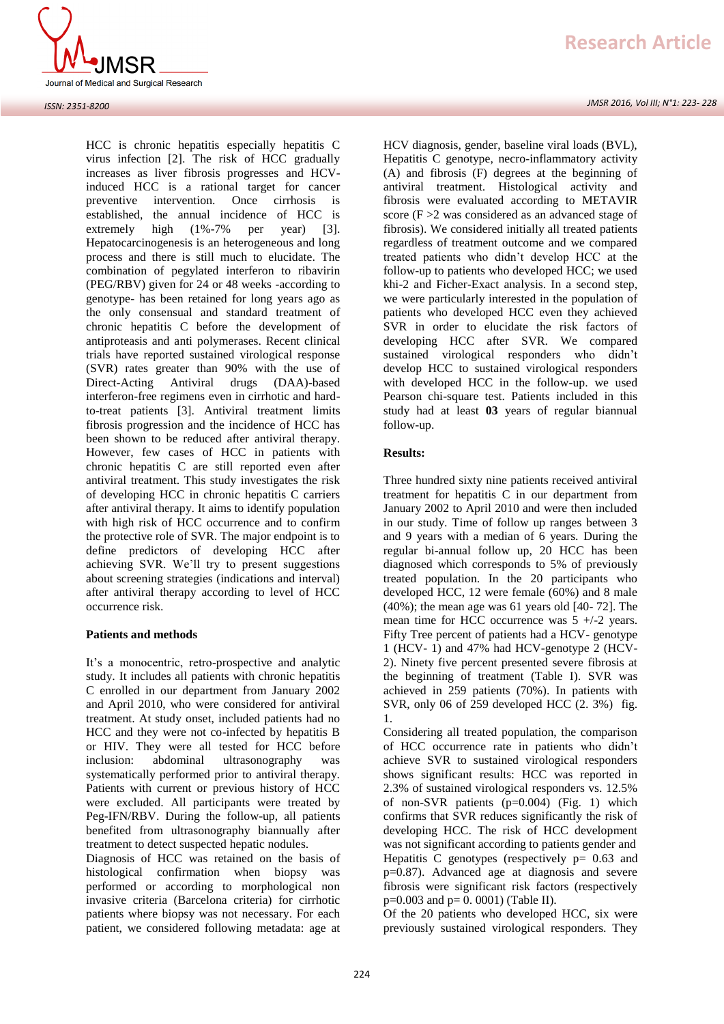

#### *ISSN: 2351-8200*

HCC is chronic hepatitis especially hepatitis C virus infection [2]. The risk of HCC gradually increases as liver fibrosis progresses and HCVinduced HCC is a rational target for cancer preventive intervention. Once cirrhosis is established, the annual incidence of HCC is extremely high (1%-7% per year) [3]. Hepatocarcinogenesis is an heterogeneous and long process and there is still much to elucidate. The combination of pegylated interferon to ribavirin (PEG/RBV) given for 24 or 48 weeks -according to genotype- has been retained for long years ago as the only consensual and standard treatment of chronic hepatitis C before the development of antiproteasis and anti polymerases. Recent clinical trials have reported sustained virological response (SVR) rates greater than 90% with the use of Direct-Acting Antiviral drugs (DAA)-based interferon-free regimens even in cirrhotic and hardto-treat patients [3]. Antiviral treatment limits fibrosis progression and the incidence of HCC has been shown to be reduced after antiviral therapy. However, few cases of HCC in patients with chronic hepatitis C are still reported even after antiviral treatment. This study investigates the risk of developing HCC in chronic hepatitis C carriers after antiviral therapy. It aims to identify population with high risk of HCC occurrence and to confirm the protective role of SVR. The major endpoint is to define predictors of developing HCC after achieving SVR. We'll try to present suggestions about screening strategies (indications and interval) after antiviral therapy according to level of HCC occurrence risk.

## **Patients and methods**

It's a monocentric, retro-prospective and analytic study. It includes all patients with chronic hepatitis C enrolled in our department from January 2002 and April 2010, who were considered for antiviral treatment. At study onset, included patients had no HCC and they were not co-infected by hepatitis B or HIV. They were all tested for HCC before inclusion: abdominal ultrasonography was systematically performed prior to antiviral therapy. Patients with current or previous history of HCC were excluded. All participants were treated by Peg-IFN/RBV. During the follow-up, all patients benefited from ultrasonography biannually after treatment to detect suspected hepatic nodules.

Diagnosis of HCC was retained on the basis of histological confirmation when biopsy was performed or according to morphological non invasive criteria (Barcelona criteria) for cirrhotic patients where biopsy was not necessary. For each patient, we considered following metadata: age at

HCV diagnosis, gender, baseline viral loads (BVL), Hepatitis C genotype, necro-inflammatory activity (A) and fibrosis (F) degrees at the beginning of antiviral treatment. Histological activity and fibrosis were evaluated according to METAVIR score (F >2 was considered as an advanced stage of fibrosis). We considered initially all treated patients regardless of treatment outcome and we compared treated patients who didn't develop HCC at the follow-up to patients who developed HCC; we used khi-2 and Ficher-Exact analysis. In a second step, we were particularly interested in the population of patients who developed HCC even they achieved SVR in order to elucidate the risk factors of developing HCC after SVR. We compared sustained virological responders who didn't develop HCC to sustained virological responders with developed HCC in the follow-up. we used Pearson chi-square test. Patients included in this study had at least **03** years of regular biannual follow-up.

## **Results:**

Three hundred sixty nine patients received antiviral treatment for hepatitis C in our department from January 2002 to April 2010 and were then included in our study. Time of follow up ranges between 3 and 9 years with a median of 6 years. During the regular bi-annual follow up, 20 HCC has been diagnosed which corresponds to 5% of previously treated population. In the 20 participants who developed HCC, 12 were female (60%) and 8 male (40%); the mean age was 61 years old [40- 72]. The mean time for HCC occurrence was  $5 +/-2$  years. Fifty Tree percent of patients had a HCV- genotype 1 (HCV- 1) and 47% had HCV-genotype 2 (HCV-2). Ninety five percent presented severe fibrosis at the beginning of treatment (Table I). SVR was achieved in 259 patients (70%). In patients with SVR, only 06 of 259 developed HCC (2. 3%) fig. 1.

Considering all treated population, the comparison of HCC occurrence rate in patients who didn't achieve SVR to sustained virological responders shows significant results: HCC was reported in 2.3% of sustained virological responders vs. 12.5% of non-SVR patients  $(p=0.004)$  (Fig. 1) which confirms that SVR reduces significantly the risk of developing HCC. The risk of HCC development was not significant according to patients gender and Hepatitis C genotypes (respectively  $p = 0.63$  and p=0.87). Advanced age at diagnosis and severe fibrosis were significant risk factors (respectively  $p=0.003$  and  $p=0.0001$ ) (Table II).

Of the 20 patients who developed HCC, six were previously sustained virological responders. They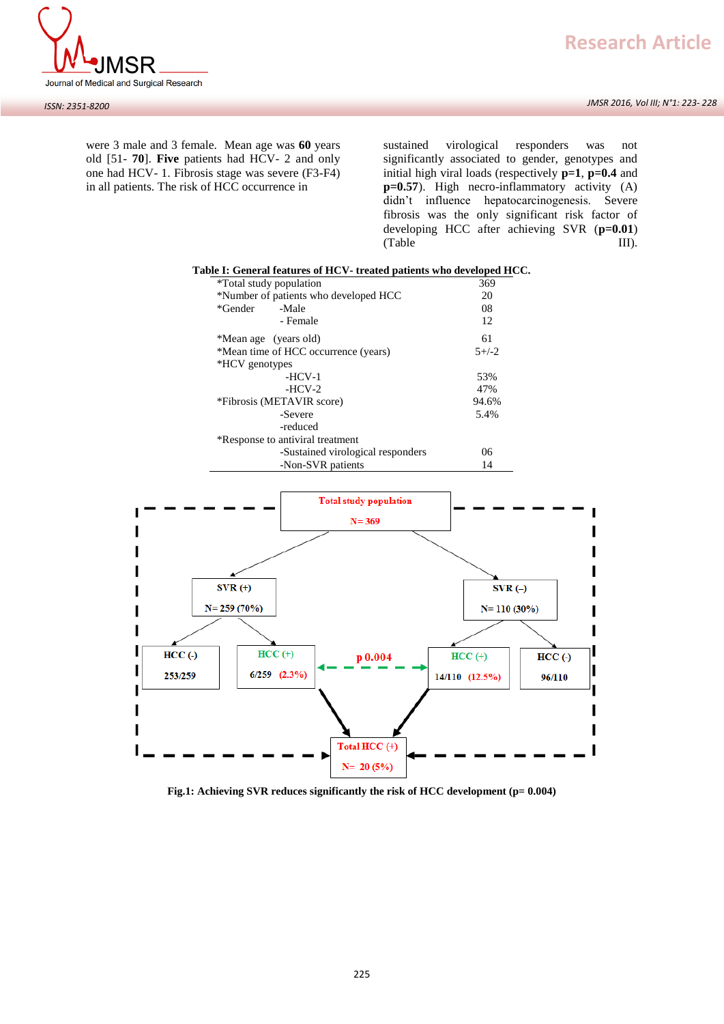



were 3 male and 3 female. Mean age was **60** years old [51- **70**]. **Five** patients had HCV- 2 and only one had HCV- 1. Fibrosis stage was severe (F3-F4) in all patients. The risk of HCC occurrence in

sustained virological responders was not significantly associated to gender, genotypes and initial high viral loads (respectively **p=1**, **p=0.4** and **p=0.57**). High necro-inflammatory activity (A) didn't influence hepatocarcinogenesis. Severe fibrosis was the only significant risk factor of developing HCC after achieving SVR (**p=0.01**) (Table III).

| Table I: General features of HCV- treated patients who developed HCC. |         |  |  |  |
|-----------------------------------------------------------------------|---------|--|--|--|
| *Total study population<br>369                                        |         |  |  |  |
| *Number of patients who developed HCC                                 | 20      |  |  |  |
| *Gender<br>-Male                                                      | 08      |  |  |  |
| - Female                                                              | 12      |  |  |  |
| *Mean age (years old)                                                 | 61      |  |  |  |
| *Mean time of HCC occurrence (years)                                  | $5+/-2$ |  |  |  |
| *HCV genotypes                                                        |         |  |  |  |
| $-HCV-1$                                                              | 53%     |  |  |  |
| $-HCV-2$                                                              | 47%     |  |  |  |
| *Fibrosis (METAVIR score)                                             | 94.6%   |  |  |  |
| -Severe                                                               | 5.4%    |  |  |  |
| -reduced                                                              |         |  |  |  |
| *Response to antiviral treatment                                      |         |  |  |  |
| -Sustained virological responders                                     | 06      |  |  |  |
| -Non-SVR patients                                                     | 14      |  |  |  |



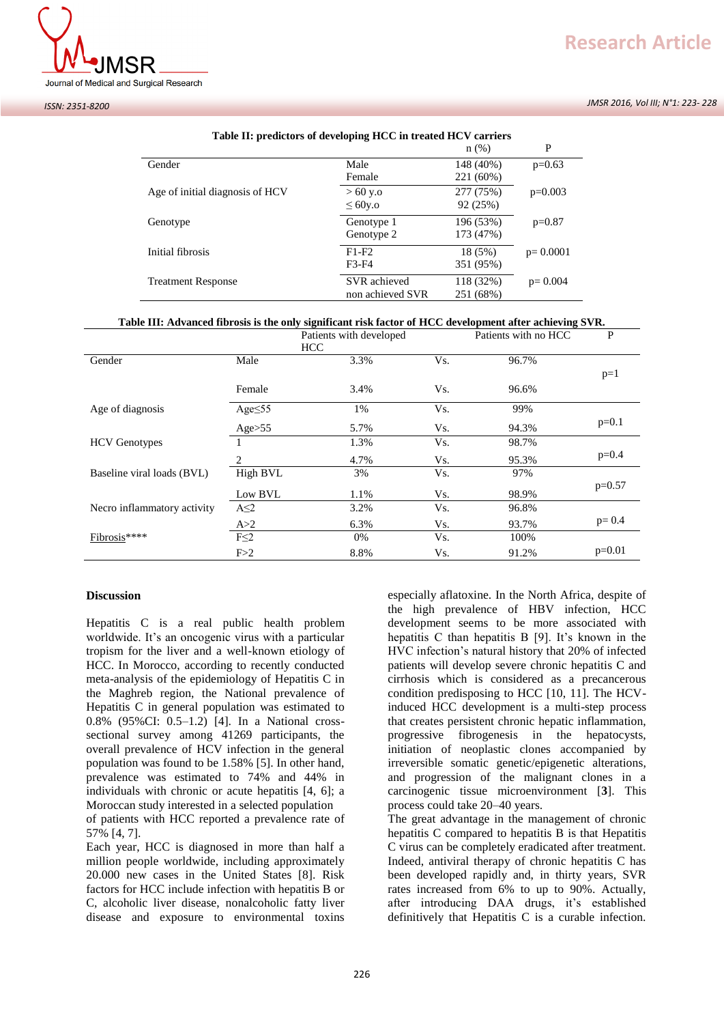



#### *ISSN: 2351-8200*

|                                 | Tuble III predictors of acted phight of the treated HOT carriers | $n$ (%)                | P           |
|---------------------------------|------------------------------------------------------------------|------------------------|-------------|
| Gender                          | Male<br>Female                                                   | 148 (40%)<br>221 (60%) | $p=0.63$    |
| Age of initial diagnosis of HCV | $> 60$ y.o<br>$\leq 60$ y.o                                      | 277 (75%)<br>92 (25%)  | $p=0.003$   |
| Genotype                        | Genotype 1<br>Genotype 2                                         | 196 (53%)<br>173 (47%) | $p=0.87$    |
| Initial fibrosis                | $F1-F2$<br>F3-F4                                                 | 18 (5%)<br>351 (95%)   | $p=0.0001$  |
| <b>Treatment Response</b>       | SVR achieved<br>non achieved SVR                                 | 118 (32%)<br>251 (68%) | $p = 0.004$ |

## **Table II: predictors of developing HCC in treated HCV carriers**

## **Table III: Advanced fibrosis is the only significant risk factor of HCC development after achieving SVR.**

|                             |               | Patients with developed<br><b>HCC</b> |     | Patients with no HCC | $\mathbf P$ |
|-----------------------------|---------------|---------------------------------------|-----|----------------------|-------------|
| Gender                      | Male          | 3.3%                                  | Vs. | 96.7%                | $p=1$       |
|                             | Female        | 3.4%                                  | Vs. | 96.6%                |             |
| Age of diagnosis            | Age $\leq$ 55 | 1%                                    | Vs. | 99%                  |             |
|                             | Age>55        | 5.7%                                  | Vs. | 94.3%                | $p=0.1$     |
| <b>HCV</b> Genotypes        |               | 1.3%                                  | Vs. | 98.7%                |             |
|                             | 2             | 4.7%                                  | Vs. | 95.3%                | $p=0.4$     |
| Baseline viral loads (BVL)  | High BVL      | 3%                                    | Vs. | 97%                  |             |
|                             | Low BVL       | 1.1%                                  | Vs. | 98.9%                | $p=0.57$    |
| Necro inflammatory activity | $A \leq 2$    | 3.2%                                  | Vs. | 96.8%                |             |
|                             | A > 2         | 6.3%                                  | Vs. | 93.7%                | $p = 0.4$   |
| Fibrosis****                | $F \leq 2$    | 0%                                    | Vs. | 100%                 |             |
|                             | F > 2         | 8.8%                                  | Vs. | 91.2%                | $p=0.01$    |

## **Discussion**

Hepatitis C is a real public health problem worldwide. It's an oncogenic virus with a particular tropism for the liver and a well-known etiology of HCC. In Morocco, according to recently conducted meta-analysis of the epidemiology of Hepatitis C in the Maghreb region, the National prevalence of Hepatitis C in general population was estimated to 0.8% (95%CI: 0.5–1.2) [4]. In a National crosssectional survey among 41269 participants, the overall prevalence of HCV infection in the general population was found to be 1.58% [5]. In other hand, prevalence was estimated to 74% and 44% in individuals with chronic or acute hepatitis [4, 6]; a Moroccan study interested in a selected population

of patients with HCC reported a prevalence rate of 57% [4, 7].

Each year, HCC is diagnosed in more than half a million people worldwide, including approximately 20.000 new cases in the United States [8]. Risk factors for HCC include infection with hepatitis B or C, alcoholic liver disease, nonalcoholic fatty liver disease and exposure to environmental toxins

especially aflatoxine. In the North Africa, despite of the high prevalence of HBV infection, HCC development seems to be more associated with hepatitis C than hepatitis B [9]. It's known in the HVC infection's natural history that 20% of infected patients will develop severe chronic hepatitis C and cirrhosis which is considered as a precancerous condition predisposing to HCC [10, 11]. The HCVinduced HCC development is a multi-step process that creates persistent chronic hepatic inflammation, progressive fibrogenesis in the hepatocysts, initiation of neoplastic clones accompanied by irreversible somatic genetic/epigenetic alterations, and progression of the malignant clones in a carcinogenic tissue microenvironment [**3**]. This process could take 20–40 years.

The great advantage in the management of chronic hepatitis C compared to hepatitis B is that Hepatitis C virus can be completely eradicated after treatment. Indeed, antiviral therapy of chronic hepatitis C has been developed rapidly and, in thirty years, SVR rates increased from 6% to up to 90%. Actually, after introducing DAA drugs, it's established definitively that Hepatitis C is a curable infection.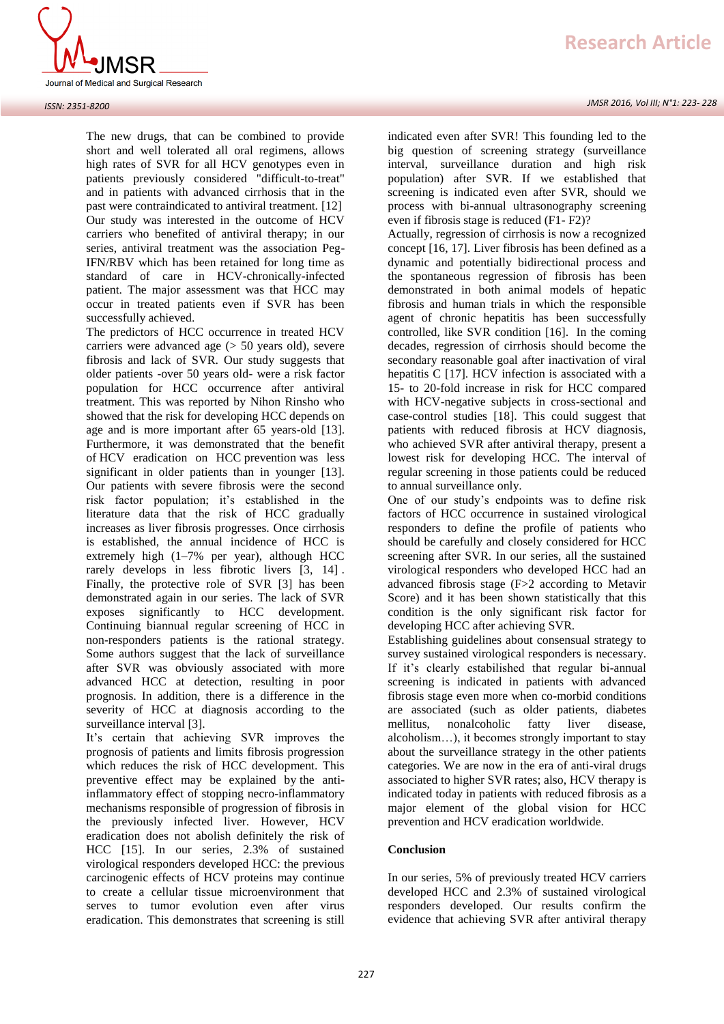

The new drugs, that can be combined to provide short and well tolerated all oral regimens, allows high rates of SVR for all HCV genotypes even in patients previously considered "difficult-to-treat" and in patients with advanced cirrhosis that in the past were contraindicated to antiviral treatment. [12] Our study was interested in the outcome of HCV carriers who benefited of antiviral therapy; in our series, antiviral treatment was the association Peg-IFN/RBV which has been retained for long time as standard of care in HCV-chronically-infected patient. The major assessment was that HCC may occur in treated patients even if SVR has been successfully achieved.

The predictors of HCC occurrence in treated HCV carriers were advanced age (> 50 years old), severe fibrosis and lack of SVR. Our study suggests that older patients -over 50 years old- were a risk factor population for HCC occurrence after antiviral treatment. This was reported by [Nihon Rinsho](http://www.ncbi.nlm.nih.gov/pubmed/25764685) who showed that the risk for developing HCC depends on age and is more important after 65 years-old [13]. Furthermore, it was demonstrated that the benefit of HCV eradication on HCC prevention was less significant in older patients than in younger [13]. Our patients with severe fibrosis were the second risk factor population; it's established in the literature data that the risk of HCC gradually increases as liver fibrosis progresses. Once cirrhosis is established, the annual incidence of HCC is extremely high  $(1-7\%$  per year), although HCC rarely develops in less fibrotic livers [3, [14\]](http://www.sciencedirect.com/science/article/pii/S0168827814004796#b0030) . Finally, the protective role of SVR [3] has been demonstrated again in our series. The lack of SVR exposes significantly to HCC development. Continuing biannual regular screening of HCC in non-responders patients is the rational strategy. Some authors suggest that the lack of surveillance after SVR was obviously associated with more advanced HCC at detection, resulting in poor prognosis. In addition, there is a difference in the severity of HCC at diagnosis according to the surveillance interval [3].

It's certain that achieving SVR improves the prognosis of patients and limits fibrosis progression which reduces the risk of HCC development. This preventive effect may be explained by the antiinflammatory effect of stopping necro-inflammatory mechanisms responsible of progression of fibrosis in the previously infected liver. However, HCV eradication does not abolish definitely the risk of HCC [15]. In our series, 2.3% of sustained virological responders developed HCC: the previous carcinogenic effects of HCV proteins may continue to create a cellular tissue microenvironment that serves to tumor evolution even after virus eradication. This demonstrates that screening is still indicated even after SVR! This founding led to the big question of screening strategy (surveillance interval, surveillance duration and high risk population) after SVR. If we established that screening is indicated even after SVR, should we process with bi-annual ultrasonography screening even if fibrosis stage is reduced (F1- F2)?

Actually, regression of cirrhosis is now a recognized concept [16, 17]. Liver fibrosis has been defined as a dynamic and potentially bidirectional process and the spontaneous regression of fibrosis has been demonstrated in both animal models of hepatic fibrosis and human trials in which the responsible agent of chronic hepatitis has been successfully controlled, like SVR condition [16]. In the coming decades, regression of cirrhosis should become the secondary reasonable goal after inactivation of viral hepatitis C [17]. HCV infection is associated with a 15- to 20-fold increase in risk for HCC compared with HCV-negative subjects in cross-sectional and case-control studies [18]. This could suggest that patients with reduced fibrosis at HCV diagnosis, who achieved SVR after antiviral therapy, present a lowest risk for developing HCC. The interval of regular screening in those patients could be reduced to annual surveillance only.

One of our study's endpoints was to define risk factors of HCC occurrence in sustained virological responders to define the profile of patients who should be carefully and closely considered for HCC screening after SVR. In our series, all the sustained virological responders who developed HCC had an advanced fibrosis stage (F>2 according to Metavir Score) and it has been shown statistically that this condition is the only significant risk factor for developing HCC after achieving SVR.

Establishing guidelines about consensual strategy to survey sustained virological responders is necessary. If it's clearly estabilished that regular bi-annual screening is indicated in patients with advanced fibrosis stage even more when co-morbid conditions are associated (such as older patients, diabetes mellitus, nonalcoholic fatty liver disease, alcoholism…), it becomes strongly important to stay about the surveillance strategy in the other patients categories. We are now in the era of anti-viral drugs associated to higher SVR rates; also, HCV therapy is indicated today in patients with reduced fibrosis as a major element of the global vision for HCC prevention and HCV eradication worldwide.

## **Conclusion**

In our series, 5% of previously treated HCV carriers developed HCC and 2.3% of sustained virological responders developed. Our results confirm the evidence that achieving SVR after antiviral therapy